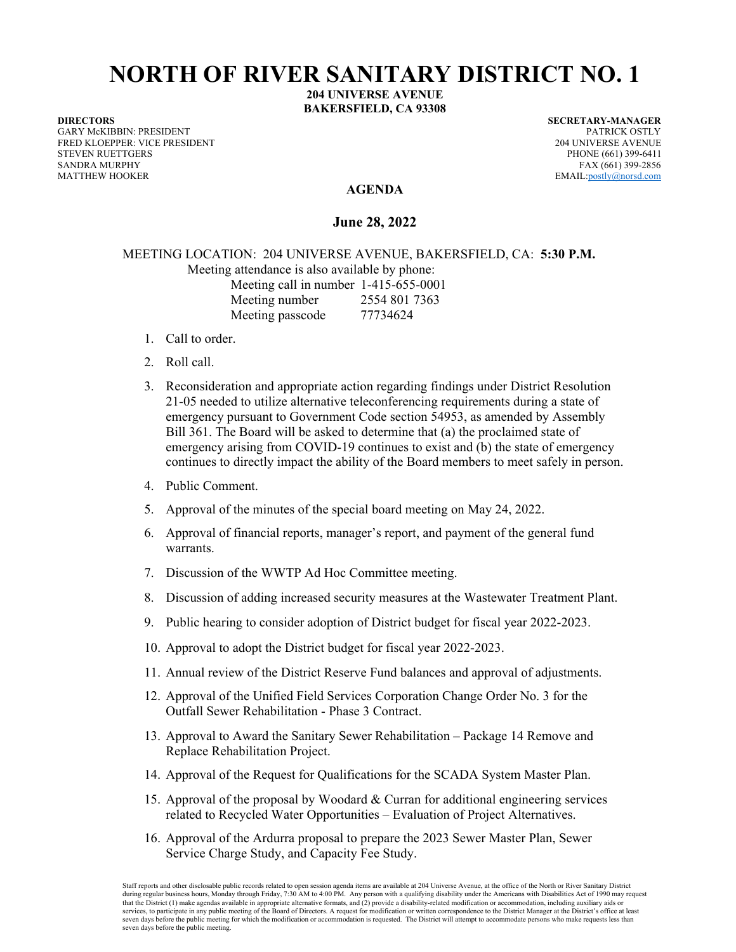## **NORTH OF RIVER SANITARY DISTRICT NO. 1**

**204 UNIVERSE AVENUE BAKERSFIELD, CA 93308** 

**DIRECTORS SECRETARY-MANAGER**  GARY McKIBBIN: PRESIDENT PATRICK OSTLY FRED KLOEPPER: VICE PRESIDENT 204 UNIVERSE AVENUE SANDRA MURPHY FAX (661) 399-2856 MATTHEW HOOKER EMAIL:postly@norsd.com

PHONE (661) 399-6411

## **AGENDA**

**June 28, 2022** 

MEETING LOCATION: 204 UNIVERSE AVENUE, BAKERSFIELD, CA: **5:30 P.M.** 

Meeting attendance is also available by phone:

Meeting call in number 1-415-655-0001 Meeting number 2554 801 7363 Meeting passcode 77734624

- 1. Call to order.
- 2. Roll call.
- 3. Reconsideration and appropriate action regarding findings under District Resolution 21-05 needed to utilize alternative teleconferencing requirements during a state of emergency pursuant to Government Code section 54953, as amended by Assembly Bill 361. The Board will be asked to determine that (a) the proclaimed state of emergency arising from COVID-19 continues to exist and (b) the state of emergency continues to directly impact the ability of the Board members to meet safely in person.
- 4. Public Comment.
- 5. Approval of the minutes of the special board meeting on May 24, 2022.
- 6. Approval of financial reports, manager's report, and payment of the general fund warrants.
- 7. Discussion of the WWTP Ad Hoc Committee meeting.
- 8. Discussion of adding increased security measures at the Wastewater Treatment Plant.
- 9. Public hearing to consider adoption of District budget for fiscal year 2022-2023.
- 10. Approval to adopt the District budget for fiscal year 2022-2023.
- 11. Annual review of the District Reserve Fund balances and approval of adjustments.
- 12. Approval of the Unified Field Services Corporation Change Order No. 3 for the Outfall Sewer Rehabilitation - Phase 3 Contract.
- 13. Approval to Award the Sanitary Sewer Rehabilitation Package 14 Remove and Replace Rehabilitation Project.
- 14. Approval of the Request for Qualifications for the SCADA System Master Plan.
- 15. Approval of the proposal by Woodard & Curran for additional engineering services related to Recycled Water Opportunities – Evaluation of Project Alternatives.
- 16. Approval of the Ardurra proposal to prepare the 2023 Sewer Master Plan, Sewer Service Charge Study, and Capacity Fee Study.

Staff reports and other disclosable public records related to open session agenda items are available at 204 Universe Avenue, at the office of the North or River Sanitary District during regular business hours, Monday through Friday, 7:30 AM to 4:00 PM. Any person with a qualifying disability under the Americans with Disabilities Act of 1990 may request that the District (1) make agendas available in appropriate alternative formats, and (2) provide a disability-related modification or accommodation, including auxiliary aids or<br>services, to participate in any public meetin seven days before the public meeting for which the modification or accommodation is requested. The District will attempt to accommodate persons who make requests less than seven days before the public meeting.